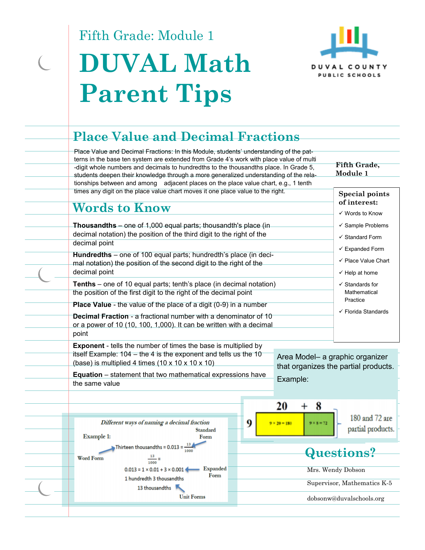Fifth Grade: Module 1



# **DUVAL Math Parent Tips**

## **Place Value and Decimal Fractions**

Place Value and Decimal Fractions: In this Module, students' understanding of the patterns in the base ten system are extended from Grade 4's work with place value of multi -digit whole numbers and decimals to hundredths to the thousandths place. In Grade 5, students deepen their knowledge through a more generalized understanding of the relationships between and among adjacent places on the place value chart, e.g., 1 tenth times any digit on the place value chart moves it one place value to the right.

**Fifth Grade, Module 1** 

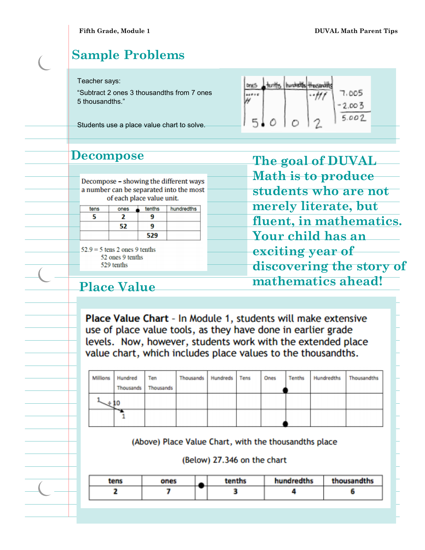## **Sample Problems**

#### Teacher says:

"Subtract 2 ones 3 thousandths from 7 ones 5 thousandths."

Students use a place value chart to solve.

|         |   | 7.005 |  |
|---------|---|-------|--|
|         |   | 2.003 |  |
| $\circ$ | ∩ | 5.002 |  |
|         |   |       |  |

#### **Decompose**

Decompose - showing the different ways a number can be separated into the most of each place value unit.

| tens | ones | tenths | hundredths |
|------|------|--------|------------|
|      |      | 9      |            |
|      | 52   | q      |            |
|      |      | 529    |            |

 $52.9 = 5$  tens 2 ones 9 tenths 52 ones 9 tenths 529 tenths

**The goal of DUVAL Math is to produce students who are not merely literate, but fluent, in mathematics. Your child has an exciting year of discovering the story of mathematics ahead!** 

### **Place Value**

Place Value Chart - In Module 1, students will make extensive use of place value tools, as they have done in earlier grade levels. Now, however, students work with the extended place value chart, which includes place values to the thousandths.

| Millions Hundred<br>Thousands | Ten<br>Thousands | Thousands Hundreds Tens |  | Ones | Tenths | Hundredths | Thousandths |
|-------------------------------|------------------|-------------------------|--|------|--------|------------|-------------|
|                               |                  |                         |  |      |        |            |             |
| ∼                             |                  |                         |  |      |        |            |             |

(Above) Place Value Chart, with the thousandths place

(Below) 27.346 on the chart

| tens | ones |   | tenths | hundredths | thousandths |  |
|------|------|---|--------|------------|-------------|--|
|      |      | _ |        |            |             |  |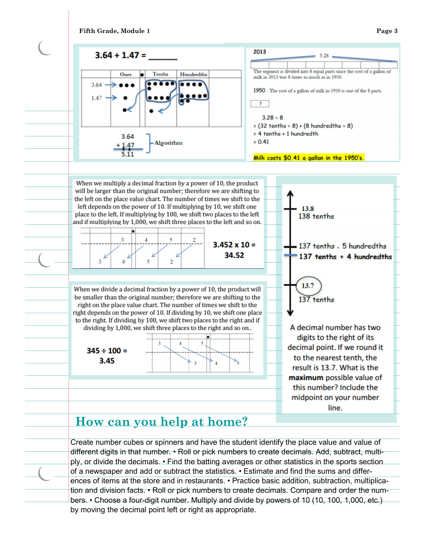





Create number cubes or spinners and have the student identify the place value and value of different digits in that number. • Roll or pick numbers to create decimals. Add, subtract, multiply, or divide the decimals. • Find the batting averages or other statistics in the sports section of a newspaper and add or subtract the statistics. • Estimate and find the sums and differences of items at the store and in restaurants. • Practice basic addition, subtraction, multiplication and division facts. • Roll or pick numbers to create decimals. Compare and order the numbers. • Choose a four-digit number. Multiply and divide by powers of 10 (10, 100, 1,000, etc.) by moving the decimal point left or right as appropriate.